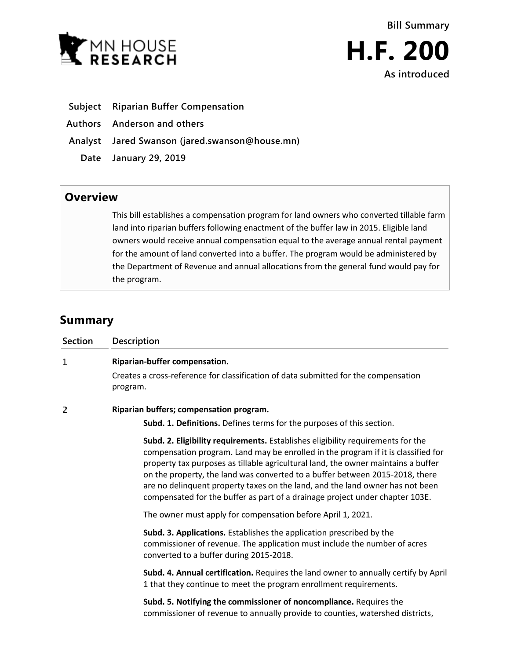



- **Subject Riparian Buffer Compensation**
- **Authors Anderson and others**
- **Analyst Jared Swanson (jared.swanson@house.mn)**
	- **Date January 29, 2019**

## **Overview**

This bill establishes a compensation program for land owners who converted tillable farm land into riparian buffers following enactment of the buffer law in 2015. Eligible land owners would receive annual compensation equal to the average annual rental payment for the amount of land converted into a buffer. The program would be administered by the Department of Revenue and annual allocations from the general fund would pay for the program.

## **Summary**

| <b>Section</b> | Description                                                                                                                                                                                                                                                                                                                                                                                                                                                                                                |
|----------------|------------------------------------------------------------------------------------------------------------------------------------------------------------------------------------------------------------------------------------------------------------------------------------------------------------------------------------------------------------------------------------------------------------------------------------------------------------------------------------------------------------|
| 1              | Riparian-buffer compensation.<br>Creates a cross-reference for classification of data submitted for the compensation<br>program.                                                                                                                                                                                                                                                                                                                                                                           |
| 2              | Riparian buffers; compensation program.<br>Subd. 1. Definitions. Defines terms for the purposes of this section.                                                                                                                                                                                                                                                                                                                                                                                           |
|                | Subd. 2. Eligibility requirements. Establishes eligibility requirements for the<br>compensation program. Land may be enrolled in the program if it is classified for<br>property tax purposes as tillable agricultural land, the owner maintains a buffer<br>on the property, the land was converted to a buffer between 2015-2018, there<br>are no delinquent property taxes on the land, and the land owner has not been<br>compensated for the buffer as part of a drainage project under chapter 103E. |
|                | The owner must apply for compensation before April 1, 2021.                                                                                                                                                                                                                                                                                                                                                                                                                                                |
|                | Subd. 3. Applications. Establishes the application prescribed by the<br>commissioner of revenue. The application must include the number of acres<br>converted to a buffer during 2015-2018.                                                                                                                                                                                                                                                                                                               |
|                | Subd. 4. Annual certification. Requires the land owner to annually certify by April<br>1 that they continue to meet the program enrollment requirements.                                                                                                                                                                                                                                                                                                                                                   |
|                | Subd. 5. Notifying the commissioner of noncompliance. Requires the<br>commissioner of revenue to annually provide to counties, watershed districts,                                                                                                                                                                                                                                                                                                                                                        |